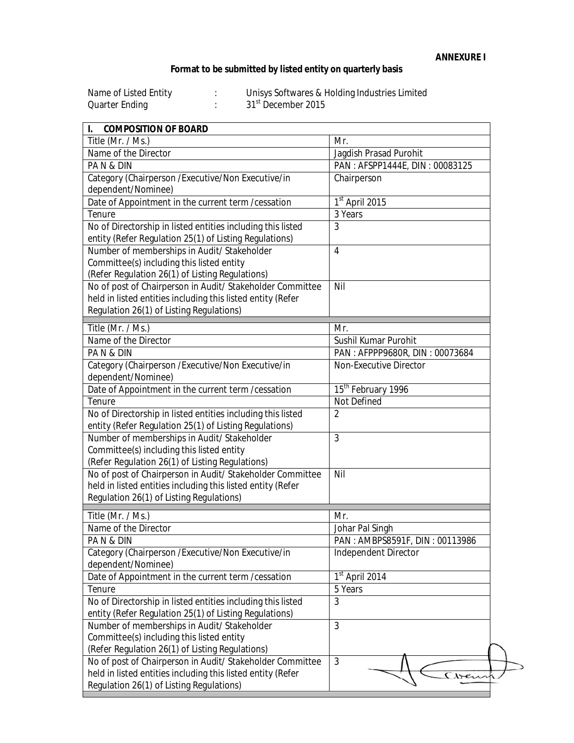## **Format to be submitted by listed entity on quarterly basis**

| Name of Listed Entity | Unisys Softwares & Holding Industries Limited |
|-----------------------|-----------------------------------------------|
| Quarter Ending        | 31 <sup>st</sup> December 2015                |

| <b>COMPOSITION OF BOARD</b><br>I.                           |                                |  |
|-------------------------------------------------------------|--------------------------------|--|
| Title (Mr. / Ms.)                                           | Mr.                            |  |
| Name of the Director                                        | Jagdish Prasad Purohit         |  |
| PAN&DIN                                                     | PAN: AFSPP1444E, DIN: 00083125 |  |
| Category (Chairperson / Executive/Non Executive/in          | Chairperson                    |  |
| dependent/Nominee)                                          |                                |  |
| Date of Appointment in the current term / cessation         | 1st April 2015                 |  |
| Tenure                                                      | 3 Years                        |  |
| No of Directorship in listed entities including this listed | 3                              |  |
| entity (Refer Regulation 25(1) of Listing Regulations)      |                                |  |
| Number of memberships in Audit/ Stakeholder                 | 4                              |  |
| Committee(s) including this listed entity                   |                                |  |
| (Refer Regulation 26(1) of Listing Regulations)             |                                |  |
| No of post of Chairperson in Audit/ Stakeholder Committee   | Nil                            |  |
| held in listed entities including this listed entity (Refer |                                |  |
| Regulation 26(1) of Listing Regulations)                    |                                |  |
| Title (Mr. / Ms.)                                           | Mr.                            |  |
| Name of the Director                                        | Sushil Kumar Purohit           |  |
| PAN&DIN                                                     | PAN: AFPPP9680R, DIN: 00073684 |  |
| Category (Chairperson / Executive/Non Executive/in          | Non-Executive Director         |  |
| dependent/Nominee)                                          |                                |  |
| Date of Appointment in the current term / cessation         | 15 <sup>th</sup> February 1996 |  |
| Tenure                                                      | <b>Not Defined</b>             |  |
| No of Directorship in listed entities including this listed | $\overline{2}$                 |  |
| entity (Refer Regulation 25(1) of Listing Regulations)      |                                |  |
| Number of memberships in Audit/ Stakeholder                 | 3                              |  |
| Committee(s) including this listed entity                   |                                |  |
| (Refer Regulation 26(1) of Listing Regulations)             |                                |  |
| No of post of Chairperson in Audit/ Stakeholder Committee   | Nil                            |  |
| held in listed entities including this listed entity (Refer |                                |  |
| Regulation 26(1) of Listing Regulations)                    |                                |  |
|                                                             |                                |  |
| Title (Mr. / Ms.)                                           | Mr.                            |  |
| Name of the Director                                        | Johar Pal Singh                |  |
| PAN&DIN                                                     | PAN: AMBPS8591F, DIN: 00113986 |  |
| Category (Chairperson / Executive/Non Executive/in          | <b>Independent Director</b>    |  |
| dependent/Nominee)                                          |                                |  |
| Date of Appointment in the current term / cessation         | 1 <sup>st</sup> April 2014     |  |
| Tenure                                                      | 5 Years                        |  |
| No of Directorship in listed entities including this listed | 3                              |  |
| entity (Refer Regulation 25(1) of Listing Regulations)      |                                |  |
| Number of memberships in Audit/ Stakeholder                 | 3                              |  |
| Committee(s) including this listed entity                   |                                |  |
| (Refer Regulation 26(1) of Listing Regulations)             |                                |  |
| No of post of Chairperson in Audit/ Stakeholder Committee   | 3                              |  |
| held in listed entities including this listed entity (Refer |                                |  |
| Regulation 26(1) of Listing Regulations)                    |                                |  |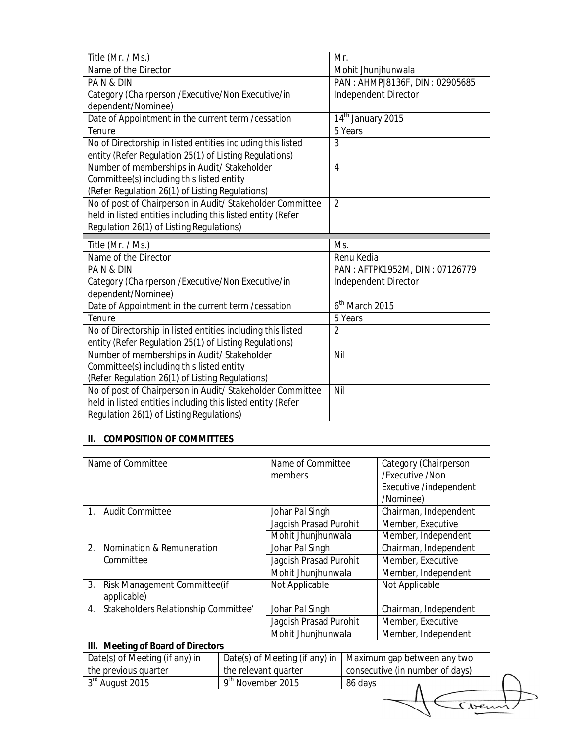| Title (Mr. / Ms.)                                                                                       | Mr.                            |  |
|---------------------------------------------------------------------------------------------------------|--------------------------------|--|
| Name of the Director                                                                                    | Mohit Jhunjhunwala             |  |
| PAN&DIN                                                                                                 | PAN: AHMPJ8136F, DIN: 02905685 |  |
| Category (Chairperson / Executive/Non Executive/in                                                      | Independent Director           |  |
| dependent/Nominee)                                                                                      |                                |  |
| Date of Appointment in the current term / cessation                                                     | 14 <sup>th</sup> January 2015  |  |
| Tenure                                                                                                  | 5 Years                        |  |
| No of Directorship in listed entities including this listed                                             | 3                              |  |
| entity (Refer Regulation 25(1) of Listing Regulations)                                                  |                                |  |
| Number of memberships in Audit/ Stakeholder                                                             | $\overline{4}$                 |  |
| Committee(s) including this listed entity                                                               |                                |  |
| (Refer Regulation 26(1) of Listing Regulations)                                                         |                                |  |
| No of post of Chairperson in Audit/ Stakeholder Committee                                               | $\overline{2}$                 |  |
| held in listed entities including this listed entity (Refer                                             |                                |  |
| Regulation 26(1) of Listing Regulations)                                                                |                                |  |
|                                                                                                         |                                |  |
| Title (Mr. / Ms.)                                                                                       | Ms.                            |  |
| Name of the Director                                                                                    | Renu Kedia                     |  |
| PAN&DIN                                                                                                 | PAN: AFTPK1952M, DIN: 07126779 |  |
| Category (Chairperson / Executive/Non Executive/in                                                      | Independent Director           |  |
| dependent/Nominee)                                                                                      |                                |  |
| Date of Appointment in the current term / cessation                                                     | 6 <sup>th</sup> March 2015     |  |
| Tenure                                                                                                  | 5 Years                        |  |
| No of Directorship in listed entities including this listed                                             | $\overline{2}$                 |  |
| entity (Refer Regulation 25(1) of Listing Regulations)                                                  |                                |  |
| Number of memberships in Audit/ Stakeholder                                                             | Nil                            |  |
| Committee(s) including this listed entity                                                               |                                |  |
| (Refer Regulation 26(1) of Listing Regulations)                                                         |                                |  |
| No of post of Chairperson in Audit/ Stakeholder Committee                                               | Nil                            |  |
| held in listed entities including this listed entity (Refer<br>Regulation 26(1) of Listing Regulations) |                                |  |

## **II. COMPOSITION OF COMMITTEES**

| Name of Committee                          |                                | Name of Committee      |                                 | Category (Chairperson       |  |  |
|--------------------------------------------|--------------------------------|------------------------|---------------------------------|-----------------------------|--|--|
|                                            |                                | members                |                                 | /Fxecutive /Non             |  |  |
|                                            |                                |                        |                                 | Executive /independent      |  |  |
|                                            |                                |                        |                                 | /Nominee)                   |  |  |
| <b>Audit Committee</b><br>$1_{\cdot}$      |                                | Johar Pal Singh        |                                 | Chairman, Independent       |  |  |
|                                            |                                | Jagdish Prasad Purohit |                                 | Member, Executive           |  |  |
|                                            |                                | Mohit Jhunjhunwala     |                                 | Member, Independent         |  |  |
| 2.<br>Nomination & Remuneration            |                                | Johar Pal Singh        |                                 | Chairman, Independent       |  |  |
| Committee                                  |                                | Jagdish Prasad Purohit |                                 | Member, Executive           |  |  |
|                                            |                                | Mohit Jhunjhunwala     |                                 | Member, Independent         |  |  |
| 3.<br>Risk Management Committee(if         |                                | Not Applicable         |                                 | Not Applicable              |  |  |
| applicable)                                |                                |                        |                                 |                             |  |  |
| Stakeholders Relationship Committee'<br>4. |                                | Johar Pal Singh        |                                 | Chairman, Independent       |  |  |
|                                            |                                | Jagdish Prasad Purohit |                                 | Member, Executive           |  |  |
|                                            |                                | Mohit Jhunjhunwala     |                                 | Member, Independent         |  |  |
| III. Meeting of Board of Directors         |                                |                        |                                 |                             |  |  |
| Date(s) of Meeting (if any) in             | Date(s) of Meeting (if any) in |                        |                                 | Maximum gap between any two |  |  |
| the previous quarter                       | the relevant quarter           |                        | consecutive (in number of days) |                             |  |  |
| 3rd August 2015                            | 9 <sup>th</sup> November 2015  |                        | 86 days                         |                             |  |  |
|                                            |                                |                        |                                 |                             |  |  |
|                                            |                                |                        |                                 |                             |  |  |

ゝ